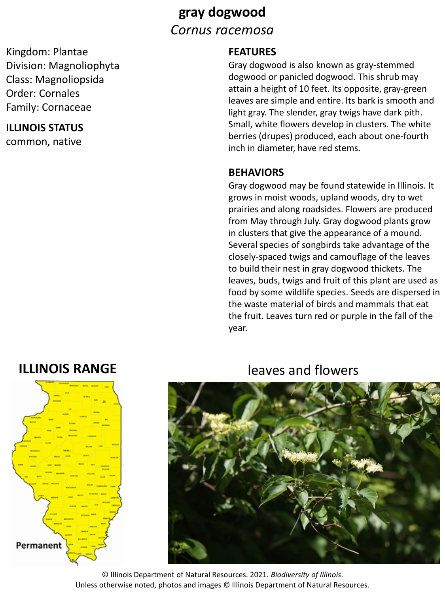# **gray dogwood** *Cornus racemosa*

Kingdom: Plantae Division: Magnoliophyta Class: Magnoliopsida Order: Cornales Family: Cornaceae

## **ILLINOIS STATUS**

common, native

## **FEATURES**

Gray dogwood is also known as gray-stemmed dogwood or panicled dogwood. This shrub may attain a height of 10 feet. Its opposite, gray-green leaves are simple and entire. Its bark is smooth and light gray. The slender, gray twigs have dark pith. Small, white flowers develop in clusters. The white berries (drupes) produced, each about one-fourth inch in diameter, have red stems.

## **BEHAVIORS**

Gray dogwood may be found statewide in Illinois. It grows in moist woods, upland woods, dry to wet prairies and along roadsides. Flowers are produced from May through July. Gray dogwood plants grow in clusters that give the appearance of a mound. Several species of songbirds take advantage of the closely-spaced twigs and camouflage of the leaves to build their nest in gray dogwood thickets. The leaves, buds, twigs and fruit of this plant are used as food by some wildlife species. Seeds are dispersed in the waste material of birds and mammals that eat the fruit. Leaves turn red or purple in the fall of the year.



## **ILLINOIS RANGE** leaves and flowers



© Illinois Department of Natural Resources. 2021. *Biodiversity of Illinois*. Unless otherwise noted, photos and images © Illinois Department of Natural Resources.